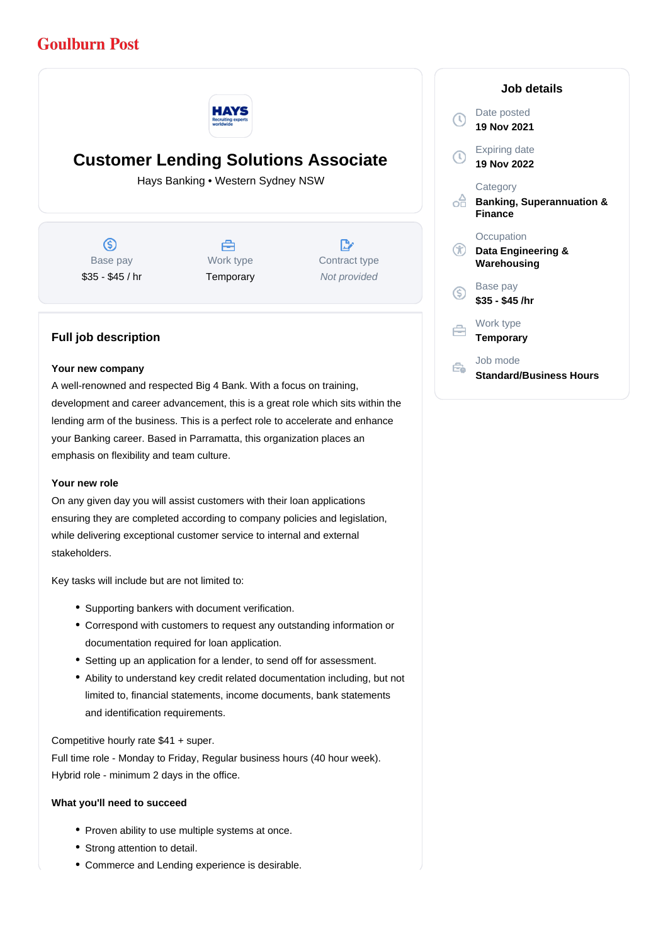# **Goulburn Post**



# **Customer Lending Solutions Associate**

Hays Banking • Western Sydney NSW

 $\circledS$ Base pay \$35 - \$45 / hr



 $\mathbb{R}^{\cdot}$ Contract type Not provided

# **Full job description**

#### **Your new company**

A well-renowned and respected Big 4 Bank. With a focus on training, development and career advancement, this is a great role which sits within the lending arm of the business. This is a perfect role to accelerate and enhance your Banking career. Based in Parramatta, this organization places an emphasis on flexibility and team culture.

### **Your new role**

On any given day you will assist customers with their loan applications ensuring they are completed according to company policies and legislation, while delivering exceptional customer service to internal and external stakeholders.

Key tasks will include but are not limited to:

- Supporting bankers with document verification.
- Correspond with customers to request any outstanding information or documentation required for loan application.
- Setting up an application for a lender, to send off for assessment.
- Ability to understand key credit related documentation including, but not limited to, financial statements, income documents, bank statements and identification requirements.

Competitive hourly rate \$41 + super.

Full time role - Monday to Friday, Regular business hours (40 hour week). Hybrid role - minimum 2 days in the office.

### **What you'll need to succeed**

- Proven ability to use multiple systems at once.
- Strong attention to detail.
- Commerce and Lending experience is desirable.

| Job details               |                                                                    |
|---------------------------|--------------------------------------------------------------------|
| $(\mathbb{C}% )^{2n}$     | Date posted<br>19 Nov 2021                                         |
| $\left(\mathbb{Q}\right)$ | Expiring date<br>19 Nov 2022                                       |
|                           | Category<br><b>Banking, Superannuation &amp;</b><br><b>Finance</b> |
| Œ                         | Occupation<br>Data Engineering &<br>Warehousing                    |
| G.                        | Base pay<br>\$35 - \$45 /hr                                        |
|                           | Work type<br><b>Temporary</b>                                      |
|                           | Job mode<br>Standard/Business Hours                                |